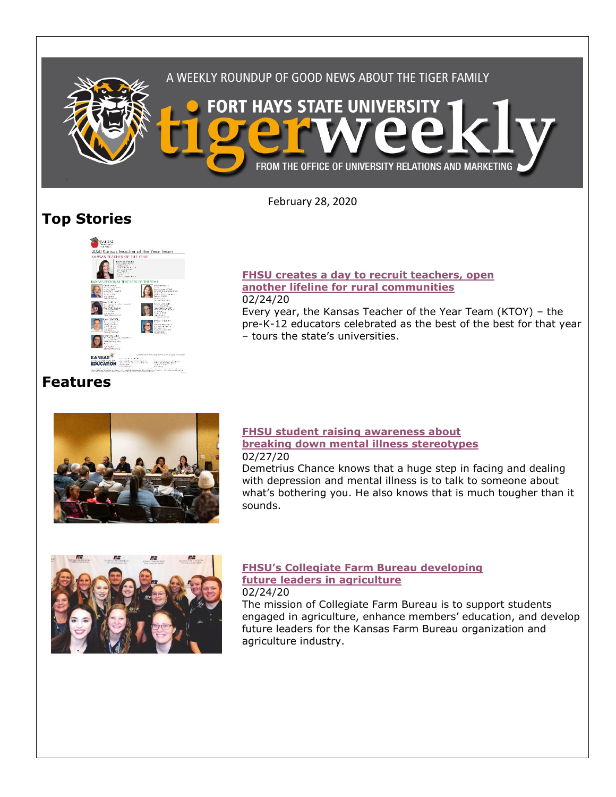

February 28, 2020

# **Top Stories**



### **[FHSU creates a day to recruit teachers, open](https://www.fhsu.edu/news/2020/02/fhsu-creates-a-day-to-recruit-teachers,-open-another-lifeline-for-rural-communities)  [another lifeline for rural communities](https://www.fhsu.edu/news/2020/02/fhsu-creates-a-day-to-recruit-teachers,-open-another-lifeline-for-rural-communities)**

02/24/20

Every year, the Kansas Teacher of the Year Team (KTOY) – the pre-K-12 educators celebrated as the best of the best for that year – tours the state's universities.

## **Features**



#### **[FHSU student raising awareness about](https://www.fhsu.edu/news/2020/02/fhsu-student-raising-awareness-about-breaking-down-mental-illness-stereotypes)  [breaking down mental illness stereotypes](https://www.fhsu.edu/news/2020/02/fhsu-student-raising-awareness-about-breaking-down-mental-illness-stereotypes)** 02/27/20

Demetrius Chance knows that a huge step in facing and dealing with depression and mental illness is to talk to someone about what's bothering you. He also knows that is much tougher than it sounds.



#### **[FHSU's Collegiate Farm Bureau developing](https://www.fhsu.edu/news/2020/02/fhsus-collegiate-farm-bureau-developing-future-leaders-in-agriculture)  [future leaders in agriculture](https://www.fhsu.edu/news/2020/02/fhsus-collegiate-farm-bureau-developing-future-leaders-in-agriculture)** 02/24/20

The mission of Collegiate Farm Bureau is to support students engaged in agriculture, enhance members' education, and develop future leaders for the Kansas Farm Bureau organization and agriculture industry.